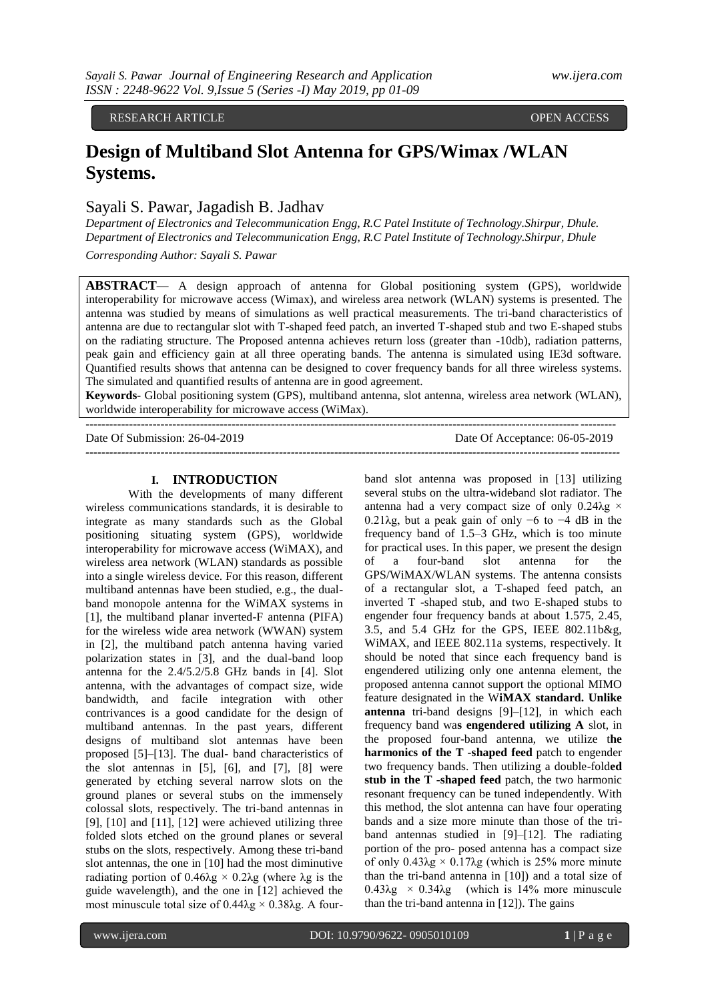### RESEARCH ARTICLE **CONSERVERS** OPEN ACCESS OPEN ACCESS

# **Design of Multiband Slot Antenna for GPS/Wimax /WLAN Systems.**

# Sayali S. Pawar, Jagadish B. Jadhav

*Department of Electronics and Telecommunication Engg, R.C Patel Institute of Technology.Shirpur, Dhule. Department of Electronics and Telecommunication Engg, R.C Patel Institute of Technology.Shirpur, Dhule*

*Corresponding Author: Sayali S. Pawar*

**ABSTRACT**— A design approach of antenna for Global positioning system (GPS), worldwide interoperability for microwave access (Wimax), and wireless area network (WLAN) systems is presented. The antenna was studied by means of simulations as well practical measurements. The tri-band characteristics of antenna are due to rectangular slot with T-shaped feed patch, an inverted T-shaped stub and two E-shaped stubs on the radiating structure. The Proposed antenna achieves return loss (greater than -10db), radiation patterns, peak gain and efficiency gain at all three operating bands. The antenna is simulated using IE3d software. Quantified results shows that antenna can be designed to cover frequency bands for all three wireless systems. The simulated and quantified results of antenna are in good agreement.

**Keywords-** Global positioning system (GPS), multiband antenna, slot antenna, wireless area network (WLAN), worldwide interoperability for microwave access (WiMax).

*---------------------------------------------------------------------------------------------------------------------------------------*

--------------------------------------------------------------------------------------------------------------------------------------

Date Of Submission: 26-04-2019 Date Of Acceptance: 06-05-2019

## **I. INTRODUCTION**

With the developments of many different wireless communications standards, it is desirable to integrate as many standards such as the Global positioning situating system (GPS), worldwide interoperability for microwave access (WiMAX), and wireless area network (WLAN) standards as possible into a single wireless device. For this reason, different multiband antennas have been studied, e.g., the dualband monopole antenna for the WiMAX systems in [1], the multiband planar inverted-F antenna (PIFA) for the wireless wide area network (WWAN) system in [2], the multiband patch antenna having varied polarization states in [3], and the dual-band loop antenna for the 2.4/5.2/5.8 GHz bands in [4]. Slot antenna, with the advantages of compact size, wide bandwidth, and facile integration with other contrivances is a good candidate for the design of multiband antennas. In the past years, different designs of multiband slot antennas have been proposed [5]–[13]. The dual- band characteristics of the slot antennas in [5], [6], and [7], [8] were generated by etching several narrow slots on the ground planes or several stubs on the immensely colossal slots, respectively. The tri-band antennas in  $[9]$ ,  $[10]$  and  $[11]$ ,  $[12]$  were achieved utilizing three folded slots etched on the ground planes or several stubs on the slots, respectively. Among these tri-band slot antennas, the one in [10] had the most diminutive radiating portion of  $0.46\lambda$ g ×  $0.2\lambda$ g (where λg is the guide wavelength), and the one in [12] achieved the most minuscule total size of 0.44λg  $\times$  0.38λg. A four-

band slot antenna was proposed in [13] utilizing several stubs on the ultra-wideband slot radiator. The antenna had a very compact size of only  $0.24\lambda g \times$ 0.21λg, but a peak gain of only −6 to −4 dB in the frequency band of 1.5–3 GHz, which is too minute for practical uses. In this paper, we present the design of a four-band slot antenna for the GPS/WiMAX/WLAN systems. The antenna consists of a rectangular slot, a T-shaped feed patch, an inverted T -shaped stub, and two E-shaped stubs to engender four frequency bands at about 1.575, 2.45, 3.5, and 5.4 GHz for the GPS, IEEE 802.11b&g, WiMAX, and IEEE 802.11a systems, respectively. It should be noted that since each frequency band is engendered utilizing only one antenna element, the proposed antenna cannot support the optional MIMO feature designated in the W**iMAX standard. Unlike antenna** tri-band designs [9]–[12], in which each frequency band wa**s engendered utilizing A** slot, in the proposed four-band antenna, we utilize t**he harmonics of the T -shaped feed** patch to engender two frequency bands. Then utilizing a double-fold**ed stub in the T -shaped feed** patch, the two harmonic resonant frequency can be tuned independently. With this method, the slot antenna can have four operating bands and a size more minute than those of the triband antennas studied in [9]–[12]. The radiating portion of the pro- posed antenna has a compact size of only  $0.43λg \times 0.17λg$  (which is 25% more minute than the tri-band antenna in [10]) and a total size of  $0.43\lambda g \times 0.34\lambda g$  (which is 14% more minuscule than the tri-band antenna in [12]). The gains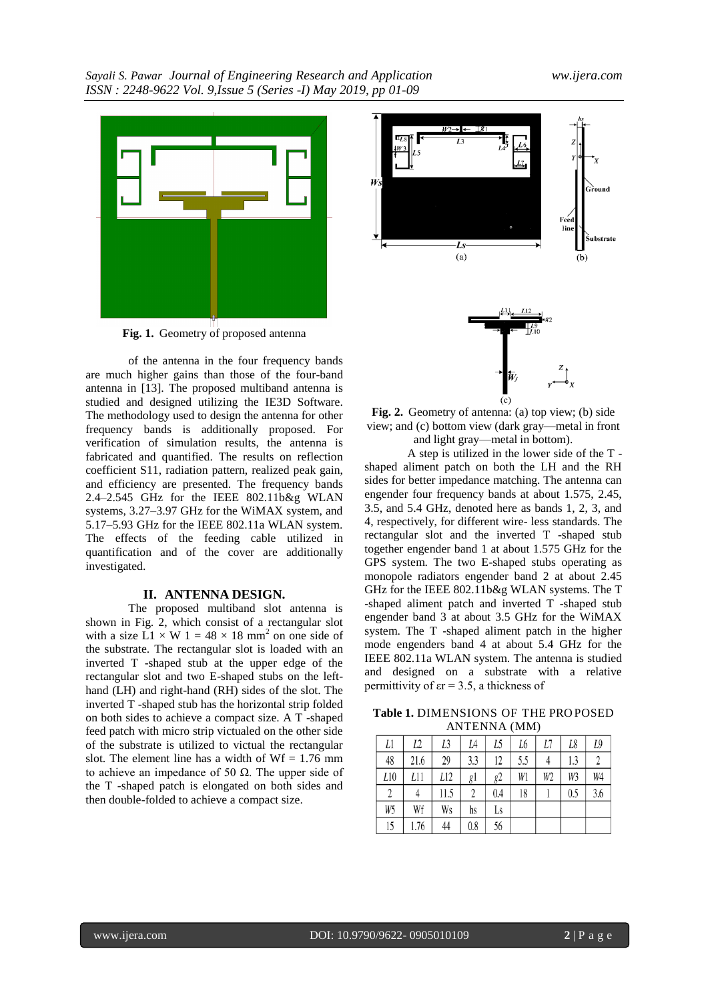

**Fig. 1.** Geometry of proposed antenna

of the antenna in the four frequency bands are much higher gains than those of the four-band antenna in [13]. The proposed multiband antenna is studied and designed utilizing the IE3D Software. The methodology used to design the antenna for other frequency bands is additionally proposed. For verification of simulation results, the antenna is fabricated and quantified. The results on reflection coefficient S11, radiation pattern, realized peak gain, and efficiency are presented. The frequency bands 2.4–2.545 GHz for the IEEE 802.11b&g WLAN systems, 3.27–3.97 GHz for the WiMAX system, and 5.17–5.93 GHz for the IEEE 802.11a WLAN system. The effects of the feeding cable utilized in quantification and of the cover are additionally investigated.

## **II. ANTENNA DESIGN.**

The proposed multiband slot antenna is shown in Fig. 2, which consist of a rectangular slot with a size  $\overline{L1} \times \overline{W}$  1 = 48  $\times$  18 mm<sup>2</sup> on one side of the substrate. The rectangular slot is loaded with an inverted T -shaped stub at the upper edge of the rectangular slot and two E-shaped stubs on the lefthand (LH) and right-hand (RH) sides of the slot. The inverted T -shaped stub has the horizontal strip folded on both sides to achieve a compact size. A T -shaped feed patch with micro strip victualed on the other side of the substrate is utilized to victual the rectangular slot. The element line has a width of  $Wf = 1.76$  mm to achieve an impedance of 50 Ω. The upper side of the T -shaped patch is elongated on both sides and then double-folded to achieve a compact size.



**Fig. 2.** Geometry of antenna: (a) top view; (b) side view; and (c) bottom view (dark gray—metal in front and light gray—metal in bottom).

A step is utilized in the lower side of the T shaped aliment patch on both the LH and the RH sides for better impedance matching. The antenna can engender four frequency bands at about 1.575, 2.45, 3.5, and 5.4 GHz, denoted here as bands 1, 2, 3, and 4, respectively, for different wire- less standards. The rectangular slot and the inverted T -shaped stub together engender band 1 at about 1.575 GHz for the GPS system. The two E-shaped stubs operating as monopole radiators engender band 2 at about 2.45 GHz for the IEEE 802.11b&g WLAN systems. The T -shaped aliment patch and inverted T -shaped stub engender band 3 at about 3.5 GHz for the WiMAX system. The T -shaped aliment patch in the higher mode engenders band 4 at about 5.4 GHz for the IEEE 802.11a WLAN system. The antenna is studied and designed on a substrate with a relative permittivity of  $er = 3.5$ , a thickness of

**Table 1.** DIMENSIONS OF THE PRO POSED ANTENNA (MM)

| Ll  | L2   | L3   | L4  | L5  | L6  | L7 | L8  | L9  |
|-----|------|------|-----|-----|-----|----|-----|-----|
| 48  | 21.6 | 29   | 3.3 | 12  | 5.5 |    | 1.3 |     |
| L10 | L11  | L12  | gl  | g2  | Wl  | W2 | W3  | W4  |
|     |      | 11.5 |     | 0.4 | 18  |    | 0.5 | 3.6 |
| W5  | Wf   | Ws   | hs  | Ls  |     |    |     |     |
| 15  | 1.76 | 44   | 0.8 | 56  |     |    |     |     |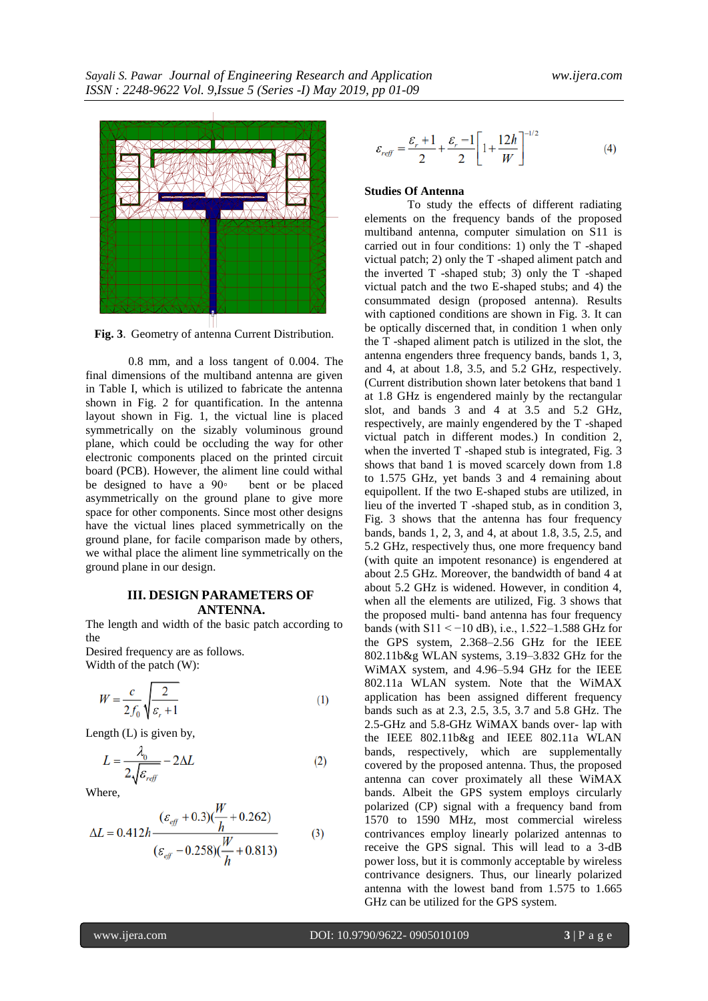

**Fig. 3**. Geometry of antenna Current Distribution.

0.8 mm, and a loss tangent of 0.004. The final dimensions of the multiband antenna are given in Table I, which is utilized to fabricate the antenna shown in Fig. 2 for quantification. In the antenna layout shown in Fig. 1, the victual line is placed symmetrically on the sizably voluminous ground plane, which could be occluding the way for other electronic components placed on the printed circuit board (PCB). However, the aliment line could withal be designed to have a 90◦ bent or be placed asymmetrically on the ground plane to give more space for other components. Since most other designs have the victual lines placed symmetrically on the ground plane, for facile comparison made by others, we withal place the aliment line symmetrically on the ground plane in our design.

### **III. DESIGN PARAMETERS OF ANTENNA.**

The length and width of the basic patch according to the

Desired frequency are as follows. Width of the patch (W):

$$
W = \frac{c}{2f_0} \sqrt{\frac{2}{\varepsilon_r + 1}}\tag{1}
$$

Length (L) is given by,

$$
L = \frac{\lambda_0}{2\sqrt{\varepsilon_{ref}}} - 2\Delta L
$$
 (2)

 $\ddotsc$ 

Where,

$$
\Delta L = 0.412h \frac{(\varepsilon_{\text{eff}} + 0.3)(\frac{W}{h} + 0.262)}{(\varepsilon_{\text{eff}} - 0.258)(\frac{W}{h} + 0.813)}
$$
(3)

$$
\varepsilon_{\text{ref}} = \frac{\varepsilon_r + 1}{2} + \frac{\varepsilon_r - 1}{2} \left[ 1 + \frac{12h}{W} \right]^{-1/2} \tag{4}
$$

### **Studies Of Antenna**

To study the effects of different radiating elements on the frequency bands of the proposed multiband antenna, computer simulation on S11 is carried out in four conditions: 1) only the T -shaped victual patch; 2) only the T -shaped aliment patch and the inverted T -shaped stub; 3) only the T -shaped victual patch and the two E-shaped stubs; and 4) the consummated design (proposed antenna). Results with captioned conditions are shown in Fig. 3. It can be optically discerned that, in condition 1 when only the T -shaped aliment patch is utilized in the slot, the antenna engenders three frequency bands, bands 1, 3, and 4, at about 1.8, 3.5, and 5.2 GHz, respectively. (Current distribution shown later betokens that band 1 at 1.8 GHz is engendered mainly by the rectangular slot, and bands 3 and 4 at 3.5 and 5.2 GHz, respectively, are mainly engendered by the T -shaped victual patch in different modes.) In condition 2, when the inverted T -shaped stub is integrated, Fig. 3 shows that band 1 is moved scarcely down from 1.8 to 1.575 GHz, yet bands 3 and 4 remaining about equipollent. If the two E-shaped stubs are utilized, in lieu of the inverted T -shaped stub, as in condition 3, Fig. 3 shows that the antenna has four frequency bands, bands 1, 2, 3, and 4, at about 1.8, 3.5, 2.5, and 5.2 GHz, respectively thus, one more frequency band (with quite an impotent resonance) is engendered at about 2.5 GHz. Moreover, the bandwidth of band 4 at about 5.2 GHz is widened. However, in condition 4, when all the elements are utilized, Fig. 3 shows that the proposed multi- band antenna has four frequency bands (with S11 < −10 dB), i.e., 1.522–1.588 GHz for the GPS system, 2.368–2.56 GHz for the IEEE 802.11b&g WLAN systems, 3.19–3.832 GHz for the WiMAX system, and 4.96–5.94 GHz for the IEEE 802.11a WLAN system. Note that the WiMAX application has been assigned different frequency bands such as at 2.3, 2.5, 3.5, 3.7 and 5.8 GHz. The 2.5-GHz and 5.8-GHz WiMAX bands over- lap with the IEEE 802.11b&g and IEEE 802.11a WLAN bands, respectively, which are supplementally covered by the proposed antenna. Thus, the proposed antenna can cover proximately all these WiMAX bands. Albeit the GPS system employs circularly polarized (CP) signal with a frequency band from 1570 to 1590 MHz, most commercial wireless contrivances employ linearly polarized antennas to receive the GPS signal. This will lead to a 3-dB power loss, but it is commonly acceptable by wireless contrivance designers. Thus, our linearly polarized antenna with the lowest band from 1.575 to 1.665 GHz can be utilized for the GPS system.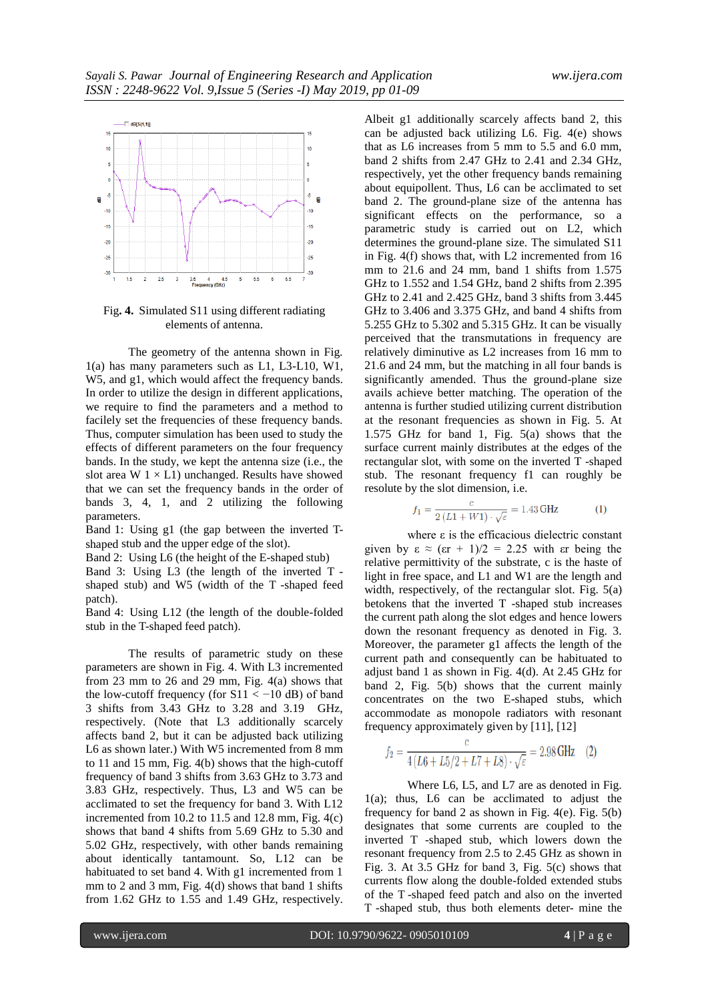

Fig**. 4.** Simulated S11 using different radiating elements of antenna.

The geometry of the antenna shown in Fig. 1(a) has many parameters such as L1, L3-L10, W1, W5, and g1, which would affect the frequency bands. In order to utilize the design in different applications, we require to find the parameters and a method to facilely set the frequencies of these frequency bands. Thus, computer simulation has been used to study the effects of different parameters on the four frequency bands. In the study, we kept the antenna size (i.e., the slot area  $W 1 \times L1$ ) unchanged. Results have showed that we can set the frequency bands in the order of bands 3, 4, 1, and 2 utilizing the following parameters.

Band 1: Using g1 (the gap between the inverted Tshaped stub and the upper edge of the slot).

Band 2: Using L6 (the height of the E-shaped stub)

Band 3: Using L3 (the length of the inverted T shaped stub) and W5 (width of the T -shaped feed patch).

Band 4: Using L12 (the length of the double-folded stub in the T-shaped feed patch).

The results of parametric study on these parameters are shown in Fig. 4. With L3 incremented from 23 mm to 26 and 29 mm, Fig. 4(a) shows that the low-cutoff frequency (for  $S11 < -10$  dB) of band 3 shifts from 3.43 GHz to 3.28 and 3.19 GHz, respectively. (Note that L3 additionally scarcely affects band 2, but it can be adjusted back utilizing L6 as shown later.) With W5 incremented from 8 mm to 11 and 15 mm, Fig. 4(b) shows that the high-cutoff frequency of band 3 shifts from 3.63 GHz to 3.73 and 3.83 GHz, respectively. Thus, L3 and W5 can be acclimated to set the frequency for band 3. With L12 incremented from 10.2 to 11.5 and 12.8 mm, Fig.  $4(c)$ shows that band 4 shifts from 5.69 GHz to 5.30 and 5.02 GHz, respectively, with other bands remaining about identically tantamount. So, L12 can be habituated to set band 4. With g1 incremented from 1 mm to 2 and 3 mm, Fig. 4(d) shows that band 1 shifts from 1.62 GHz to 1.55 and 1.49 GHz, respectively.

Albeit g1 additionally scarcely affects band 2, this can be adjusted back utilizing L6. Fig. 4(e) shows that as L6 increases from 5 mm to 5.5 and 6.0 mm, band 2 shifts from 2.47 GHz to 2.41 and 2.34 GHz, respectively, yet the other frequency bands remaining about equipollent. Thus, L6 can be acclimated to set band 2. The ground-plane size of the antenna has significant effects on the performance, so a parametric study is carried out on L2, which determines the ground-plane size. The simulated S11 in Fig. 4(f) shows that, with L2 incremented from 16 mm to 21.6 and 24 mm, band 1 shifts from 1.575 GHz to 1.552 and 1.54 GHz, band 2 shifts from 2.395 GHz to 2.41 and 2.425 GHz, band 3 shifts from 3.445 GHz to 3.406 and 3.375 GHz, and band 4 shifts from 5.255 GHz to 5.302 and 5.315 GHz. It can be visually perceived that the transmutations in frequency are relatively diminutive as L2 increases from 16 mm to 21.6 and 24 mm, but the matching in all four bands is significantly amended. Thus the ground-plane size avails achieve better matching. The operation of the antenna is further studied utilizing current distribution at the resonant frequencies as shown in Fig. 5. At 1.575 GHz for band 1, Fig. 5(a) shows that the surface current mainly distributes at the edges of the rectangular slot, with some on the inverted T -shaped stub. The resonant frequency f1 can roughly be resolute by the slot dimension, i.e.

$$
f_1 = \frac{c}{2(L1 + W1) \cdot \sqrt{\varepsilon}} = 1.43 \text{ GHz} \tag{1}
$$

where  $\varepsilon$  is the efficacious dielectric constant given by  $\varepsilon \approx (\varepsilon r + 1)/2 = 2.25$  with  $\varepsilon r$  being the relative permittivity of the substrate, c is the haste of light in free space, and L1 and W1 are the length and width, respectively, of the rectangular slot. Fig. 5(a) betokens that the inverted T -shaped stub increases the current path along the slot edges and hence lowers down the resonant frequency as denoted in Fig. 3. Moreover, the parameter g1 affects the length of the current path and consequently can be habituated to adjust band 1 as shown in Fig. 4(d). At 2.45 GHz for band 2, Fig. 5(b) shows that the current mainly concentrates on the two E-shaped stubs, which accommodate as monopole radiators with resonant frequency approximately given by [11], [12]

$$
f_2 = \frac{c}{4(L6 + L5/2 + L7 + L8) \cdot \sqrt{\varepsilon}} = 2.98 \text{ GHz} \quad (2)
$$

Where L6, L5, and L7 are as denoted in Fig. 1(a); thus, L6 can be acclimated to adjust the frequency for band 2 as shown in Fig. 4(e). Fig. 5(b) designates that some currents are coupled to the inverted T -shaped stub, which lowers down the resonant frequency from 2.5 to 2.45 GHz as shown in Fig. 3. At 3.5 GHz for band 3, Fig. 5(c) shows that currents flow along the double-folded extended stubs of the T -shaped feed patch and also on the inverted T -shaped stub, thus both elements deter- mine the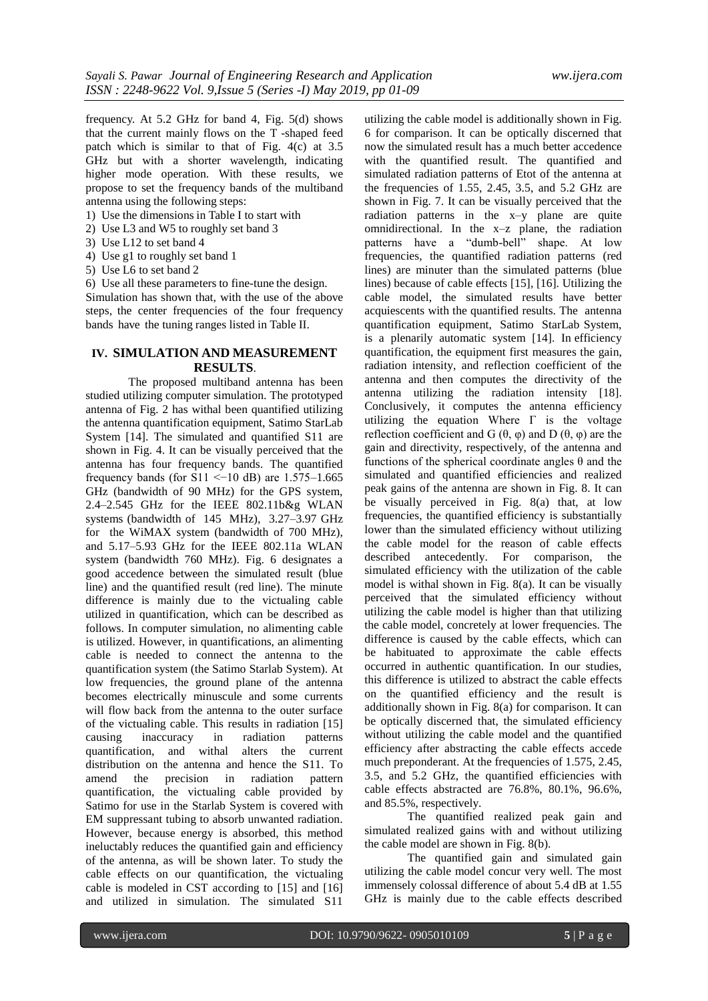frequency. At 5.2 GHz for band 4, Fig. 5(d) shows that the current mainly flows on the T -shaped feed patch which is similar to that of Fig. 4(c) at 3.5 GHz but with a shorter wavelength, indicating higher mode operation. With these results, we propose to set the frequency bands of the multiband antenna using the following steps:

- 1) Use the dimensions in Table I to start with
- 2) Use L3 and W5 to roughly set band 3
- 3) Use L12 to set band 4
- 4) Use g1 to roughly set band 1
- 5) Use L6 to set band 2

6) Use all these parameters to fine-tune the design.

Simulation has shown that, with the use of the above steps, the center frequencies of the four frequency bands have the tuning ranges listed in Table II.

#### **IV. SIMULATION AND MEASUREMENT RESULTS**.

The proposed multiband antenna has been studied utilizing computer simulation. The prototyped antenna of Fig. 2 has withal been quantified utilizing the antenna quantification equipment, Satimo StarLab System [14]. The simulated and quantified S11 are shown in Fig. 4. It can be visually perceived that the antenna has four frequency bands. The quantified frequency bands (for  $S11 \le -10$  dB) are 1.575–1.665 GHz (bandwidth of 90 MHz) for the GPS system, 2.4–2.545 GHz for the IEEE 802.11b&g WLAN systems (bandwidth of 145 MHz), 3.27–3.97 GHz for the WiMAX system (bandwidth of 700 MHz), and 5.17–5.93 GHz for the IEEE 802.11a WLAN system (bandwidth 760 MHz). Fig. 6 designates a good accedence between the simulated result (blue line) and the quantified result (red line). The minute difference is mainly due to the victualing cable utilized in quantification, which can be described as follows. In computer simulation, no alimenting cable is utilized. However, in quantifications, an alimenting cable is needed to connect the antenna to the quantification system (the Satimo Starlab System). At low frequencies, the ground plane of the antenna becomes electrically minuscule and some currents will flow back from the antenna to the outer surface of the victualing cable. This results in radiation [15] causing inaccuracy in radiation patterns quantification, and withal alters the current distribution on the antenna and hence the S11. To amend the precision in radiation pattern amend the precision in radiation quantification, the victualing cable provided by Satimo for use in the Starlab System is covered with EM suppressant tubing to absorb unwanted radiation. However, because energy is absorbed, this method ineluctably reduces the quantified gain and efficiency of the antenna, as will be shown later. To study the cable effects on our quantification, the victualing cable is modeled in CST according to [15] and [16] and utilized in simulation. The simulated S11

utilizing the cable model is additionally shown in Fig. 6 for comparison. It can be optically discerned that now the simulated result has a much better accedence with the quantified result. The quantified and simulated radiation patterns of Etot of the antenna at the frequencies of 1.55, 2.45, 3.5, and 5.2 GHz are shown in Fig. 7. It can be visually perceived that the radiation patterns in the  $x-y$  plane are quite omnidirectional. In the x–z plane, the radiation patterns have a "dumb-bell" shape. At low frequencies, the quantified radiation patterns (red lines) are minuter than the simulated patterns (blue lines) because of cable effects [15], [16]. Utilizing the cable model, the simulated results have better acquiescents with the quantified results. The antenna quantification equipment, Satimo StarLab System, is a plenarily automatic system [14]. In efficiency quantification, the equipment first measures the gain, radiation intensity, and reflection coefficient of the antenna and then computes the directivity of the antenna utilizing the radiation intensity [18]. Conclusively, it computes the antenna efficiency utilizing the equation Where  $\Gamma$  is the voltage reflection coefficient and G  $(θ, φ)$  and D  $(θ, φ)$  are the gain and directivity, respectively, of the antenna and functions of the spherical coordinate angles  $\theta$  and the simulated and quantified efficiencies and realized peak gains of the antenna are shown in Fig. 8. It can be visually perceived in Fig. 8(a) that, at low frequencies, the quantified efficiency is substantially lower than the simulated efficiency without utilizing the cable model for the reason of cable effects described antecedently. For comparison, the simulated efficiency with the utilization of the cable model is withal shown in Fig. 8(a). It can be visually perceived that the simulated efficiency without utilizing the cable model is higher than that utilizing the cable model, concretely at lower frequencies. The difference is caused by the cable effects, which can be habituated to approximate the cable effects occurred in authentic quantification. In our studies, this difference is utilized to abstract the cable effects on the quantified efficiency and the result is additionally shown in Fig. 8(a) for comparison. It can be optically discerned that, the simulated efficiency without utilizing the cable model and the quantified efficiency after abstracting the cable effects accede much preponderant. At the frequencies of 1.575, 2.45, 3.5, and 5.2 GHz, the quantified efficiencies with cable effects abstracted are 76.8%, 80.1%, 96.6%, and 85.5%, respectively.

The quantified realized peak gain and simulated realized gains with and without utilizing the cable model are shown in Fig. 8(b).

The quantified gain and simulated gain utilizing the cable model concur very well. The most immensely colossal difference of about 5.4 dB at 1.55 GHz is mainly due to the cable effects described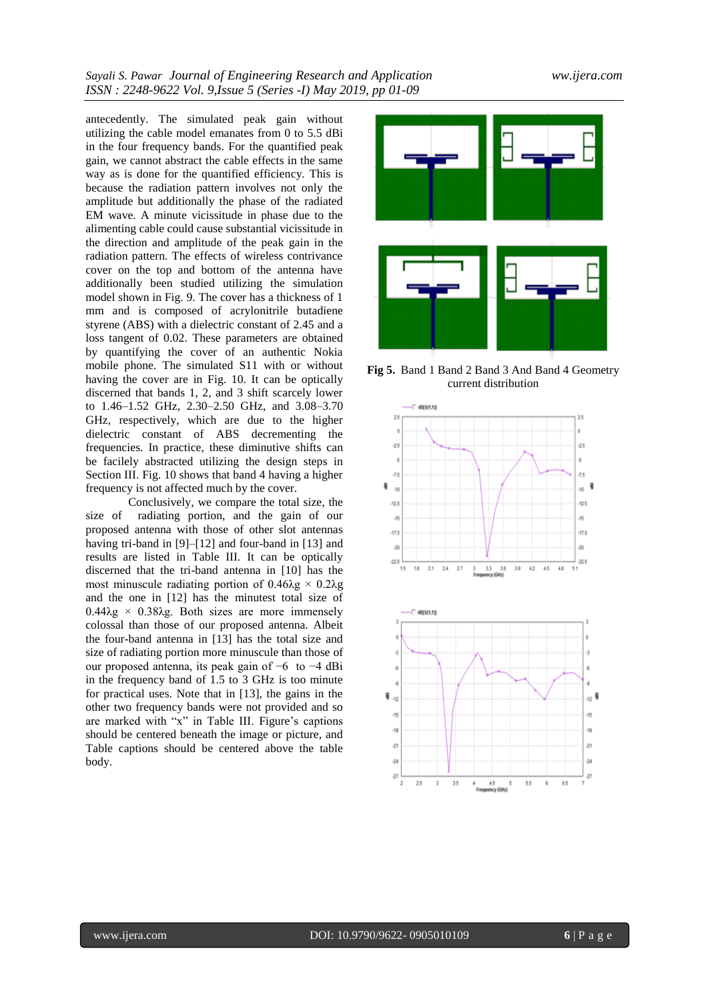antecedently. The simulated peak gain without utilizing the cable model emanates from 0 to 5.5 dBi in the four frequency bands. For the quantified peak gain, we cannot abstract the cable effects in the same way as is done for the quantified efficiency. This is because the radiation pattern involves not only the amplitude but additionally the phase of the radiated EM wave. A minute vicissitude in phase due to the alimenting cable could cause substantial vicissitude in the direction and amplitude of the peak gain in the radiation pattern. The effects of wireless contrivance cover on the top and bottom of the antenna have additionally been studied utilizing the simulation model shown in Fig. 9. The cover has a thickness of 1 mm and is composed of acrylonitrile butadiene styrene (ABS) with a dielectric constant of 2.45 and a loss tangent of 0.02. These parameters are obtained by quantifying the cover of an authentic Nokia mobile phone. The simulated S11 with or without having the cover are in Fig. 10. It can be optically discerned that bands 1, 2, and 3 shift scarcely lower to 1.46–1.52 GHz, 2.30–2.50 GHz, and 3.08–3.70 GHz, respectively, which are due to the higher dielectric constant of ABS decrementing the frequencies. In practice, these diminutive shifts can be facilely abstracted utilizing the design steps in Section III. Fig. 10 shows that band 4 having a higher frequency is not affected much by the cover.

Conclusively, we compare the total size, the size of radiating portion, and the gain of our proposed antenna with those of other slot antennas having tri-band in [9]–[12] and four-band in [13] and results are listed in Table III. It can be optically discerned that the tri-band antenna in [10] has the most minuscule radiating portion of  $0.46\lambda g \times 0.2\lambda g$ and the one in [12] has the minutest total size of  $0.44\lambda g \times 0.38\lambda g$ . Both sizes are more immensely colossal than those of our proposed antenna. Albeit the four-band antenna in [13] has the total size and size of radiating portion more minuscule than those of our proposed antenna, its peak gain of −6 to −4 dBi in the frequency band of 1.5 to 3 GHz is too minute for practical uses. Note that in [13], the gains in the other two frequency bands were not provided and so are marked with "x" in Table III. Figure's captions should be centered beneath the image or picture, and Table captions should be centered above the table body.



**Fig 5.** Band 1 Band 2 Band 3 And Band 4 Geometry current distribution

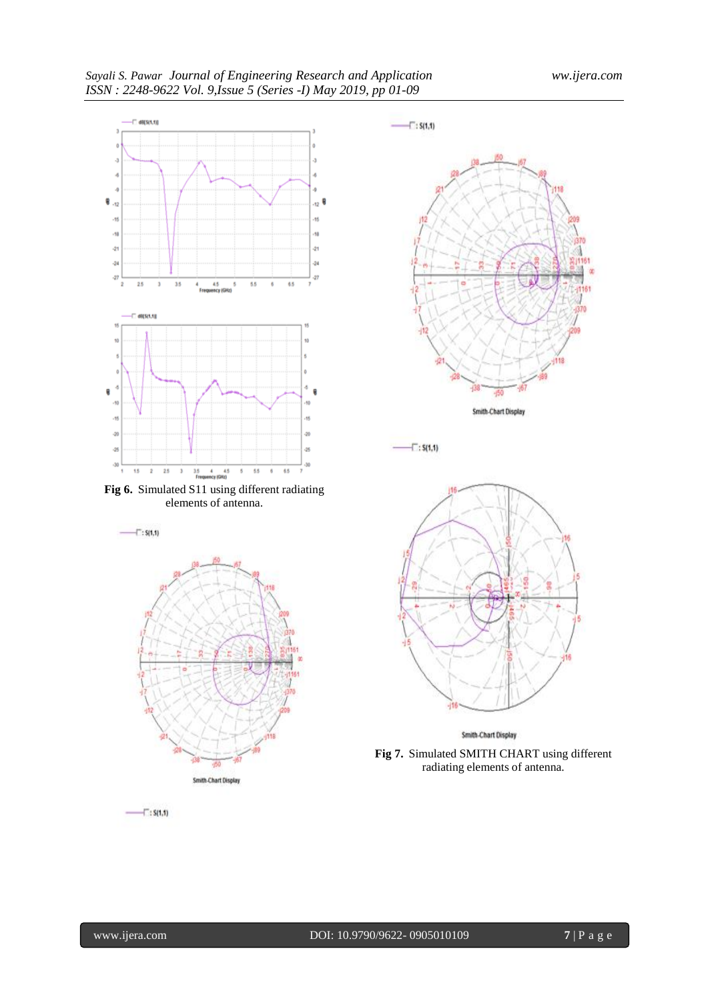

elements of antenna.







 $-\square$ : S(1,1)



Smith-Chart Display

**Fig 7.** Simulated SMITH CHART using different radiating elements of antenna.

 $-1$ : S(1,1)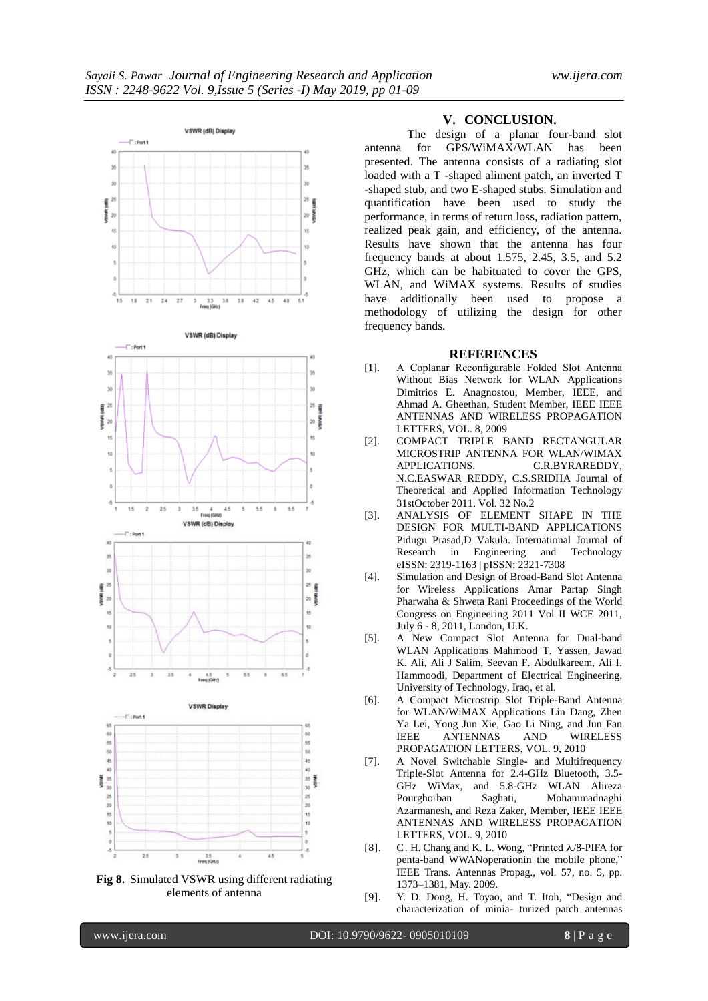

**Fig 8.** Simulated VSWR using different radiating elements of antenna

#### **V. CONCLUSION.**

The design of a planar four-band slot antenna for GPS/WiMAX/WLAN has been presented. The antenna consists of a radiating slot loaded with a T -shaped aliment patch, an inverted T -shaped stub, and two E-shaped stubs. Simulation and quantification have been used to study the performance, in terms of return loss, radiation pattern, realized peak gain, and efficiency, of the antenna. Results have shown that the antenna has four frequency bands at about 1.575, 2.45, 3.5, and  $5.2$ GHz, which can be habituated to cover the GPS, WLAN, and WiMAX systems. Results of studies have additionally been used to propose a methodology of utilizing the design for other frequency bands.

#### **REFERENCES**

- [1]. A Coplanar Reconfigurable Folded Slot Antenna Without Bias Network for WLAN Applications Dimitrios E. Anagnostou, Member, IEEE, and Ahmad A. Gheethan, Student Member, IEEE IEEE ANTENNAS AND WIRELESS PROPAGATION LETTERS, VOL. 8, 2009
- [2]. COMPACT TRIPLE BAND RECTANGULAR MICROSTRIP ANTENNA FOR WLAN/WIMAX APPLICATIONS. C.R.BYRAREDDY, N.C.EASWAR REDDY, C.S.SRIDHA Journal of Theoretical and Applied Information Technology 31stOctober 2011. Vol. 32 No.2
- [3]. ANALYSIS OF ELEMENT SHAPE IN THE DESIGN FOR MULTI-BAND APPLICATIONS Pidugu Prasad,D Vakula. International Journal of Research in Engineering and Technology eISSN: 2319-1163 | pISSN: 2321-7308
- [4]. Simulation and Design of Broad-Band Slot Antenna for Wireless Applications Amar Partap Singh Pharwaha & Shweta Rani Proceedings of the World Congress on Engineering 2011 Vol II WCE 2011, July 6 - 8, 2011, London, U.K.
- [5]. A New Compact Slot Antenna for Dual-band WLAN Applications Mahmood T. Yassen, Jawad K. Ali, Ali J Salim, Seevan F. Abdulkareem, Ali I. Hammoodi, Department of Electrical Engineering, University of Technology, Iraq, et al.
- [6]. A Compact Microstrip Slot Triple-Band Antenna for WLAN/WiMAX Applications Lin Dang, Zhen Ya Lei, Yong Jun Xie, Gao Li Ning, and Jun Fan IEEE ANTENNAS AND WIRELESS PROPAGATION LETTERS, VOL. 9, 2010
- [7]. A Novel Switchable Single- and Multifrequency Triple-Slot Antenna for 2.4-GHz Bluetooth, 3.5- GHz WiMax, and 5.8-GHz WLAN Alireza Pourghorban Saghati, Mohammadnaghi Azarmanesh, and Reza Zaker, Member, IEEE IEEE ANTENNAS AND WIRELESS PROPAGATION LETTERS, VOL. 9, 2010
- [8]. C. H. Chang and K. L. Wong, "Printed  $\lambda$ /8-PIFA for penta-band WWANoperationin the mobile phone," IEEE Trans. Antennas Propag., vol. 57, no. 5, pp. 1373–1381, May. 2009.
- [9]. Y. D. Dong, H. Toyao, and T. Itoh, "Design and characterization of minia- turized patch antennas